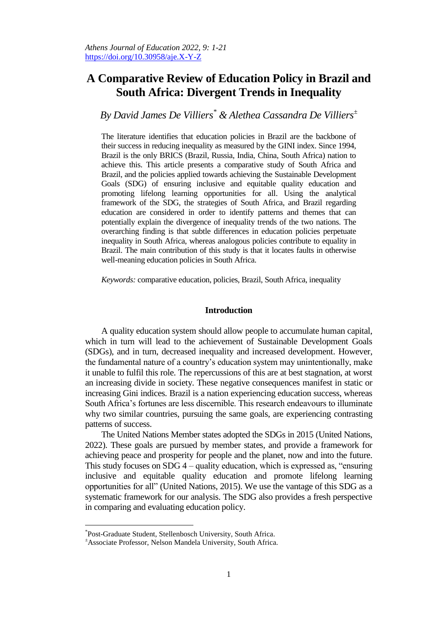# **A Comparative Review of Education Policy in Brazil and South Africa: Divergent Trends in Inequality**

# *By David James De Villiers\* & Alethea Cassandra De Villiers<sup>±</sup>*

The literature identifies that education policies in Brazil are the backbone of their success in reducing inequality as measured by the GINI index. Since 1994, Brazil is the only BRICS (Brazil, Russia, India, China, South Africa) nation to achieve this. This article presents a comparative study of South Africa and Brazil, and the policies applied towards achieving the Sustainable Development Goals (SDG) of ensuring inclusive and equitable quality education and promoting lifelong learning opportunities for all. Using the analytical framework of the SDG, the strategies of South Africa, and Brazil regarding education are considered in order to identify patterns and themes that can potentially explain the divergence of inequality trends of the two nations. The overarching finding is that subtle differences in education policies perpetuate inequality in South Africa, whereas analogous policies contribute to equality in Brazil. The main contribution of this study is that it locates faults in otherwise well-meaning education policies in South Africa.

*Keywords:* comparative education, policies, Brazil, South Africa, inequality

## **Introduction**

A quality education system should allow people to accumulate human capital, which in turn will lead to the achievement of Sustainable Development Goals (SDGs), and in turn, decreased inequality and increased development. However, the fundamental nature of a country's education system may unintentionally, make it unable to fulfil this role. The repercussions of this are at best stagnation, at worst an increasing divide in society. These negative consequences manifest in static or increasing Gini indices. Brazil is a nation experiencing education success, whereas South Africa's fortunes are less discernible. This research endeavours to illuminate why two similar countries, pursuing the same goals, are experiencing contrasting patterns of success.

The United Nations Member states adopted the SDGs in 2015 (United Nations, 2022). These goals are pursued by member states, and provide a framework for achieving peace and prosperity for people and the planet, now and into the future. This study focuses on SDG 4 – quality education, which is expressed as, "ensuring inclusive and equitable quality education and promote lifelong learning opportunities for all" (United Nations, 2015). We use the vantage of this SDG as a systematic framework for our analysis. The SDG also provides a fresh perspective in comparing and evaluating education policy.

 $\overline{a}$ 

<sup>\*</sup> Post-Graduate Student, Stellenbosch University, South Africa.

<sup>±</sup>Associate Professor, Nelson Mandela University, South Africa.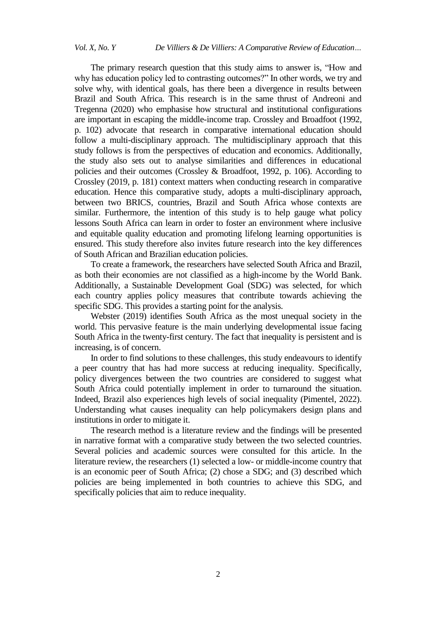The primary research question that this study aims to answer is, "How and why has education policy led to contrasting outcomes?" In other words, we try and solve why, with identical goals, has there been a divergence in results between Brazil and South Africa. This research is in the same thrust of Andreoni and Tregenna (2020) who emphasise how structural and institutional configurations are important in escaping the middle-income trap. Crossley and Broadfoot (1992, p. 102) advocate that research in comparative international education should follow a multi-disciplinary approach. The multidisciplinary approach that this study follows is from the perspectives of education and economics. Additionally, the study also sets out to analyse similarities and differences in educational policies and their outcomes (Crossley & Broadfoot, 1992, p. 106). According to Crossley (2019, p. 181) context matters when conducting research in comparative education. Hence this comparative study, adopts a multi-disciplinary approach, between two BRICS, countries, Brazil and South Africa whose contexts are similar. Furthermore, the intention of this study is to help gauge what policy lessons South Africa can learn in order to foster an environment where inclusive and equitable quality education and promoting lifelong learning opportunities is ensured. This study therefore also invites future research into the key differences of South African and Brazilian education policies.

To create a framework, the researchers have selected South Africa and Brazil, as both their economies are not classified as a high-income by the World Bank. Additionally, a Sustainable Development Goal (SDG) was selected, for which each country applies policy measures that contribute towards achieving the specific SDG. This provides a starting point for the analysis.

Webster (2019) identifies South Africa as the most unequal society in the world. This pervasive feature is the main underlying developmental issue facing South Africa in the twenty-first century. The fact that inequality is persistent and is increasing, is of concern.

In order to find solutions to these challenges, this study endeavours to identify a peer country that has had more success at reducing inequality. Specifically, policy divergences between the two countries are considered to suggest what South Africa could potentially implement in order to turnaround the situation. Indeed, Brazil also experiences high levels of social inequality (Pimentel, 2022). Understanding what causes inequality can help policymakers design plans and institutions in order to mitigate it.

The research method is a literature review and the findings will be presented in narrative format with a comparative study between the two selected countries. Several policies and academic sources were consulted for this article. In the literature review, the researchers (1) selected a low- or middle-income country that is an economic peer of South Africa; (2) chose a SDG; and (3) described which policies are being implemented in both countries to achieve this SDG, and specifically policies that aim to reduce inequality.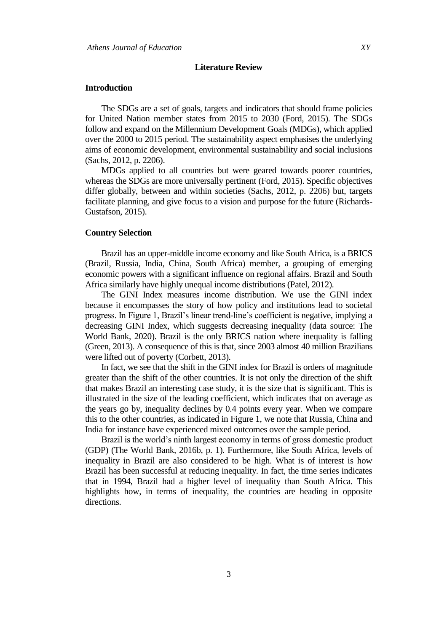#### **Literature Review**

## **Introduction**

The SDGs are a set of goals, targets and indicators that should frame policies for United Nation member states from 2015 to 2030 (Ford, 2015). The SDGs follow and expand on the Millennium Development Goals (MDGs), which applied over the 2000 to 2015 period. The sustainability aspect emphasises the underlying aims of economic development, environmental sustainability and social inclusions (Sachs, 2012, p. 2206).

MDGs applied to all countries but were geared towards poorer countries, whereas the SDGs are more universally pertinent (Ford, 2015). Specific objectives differ globally, between and within societies (Sachs, 2012, p. 2206) but, targets facilitate planning, and give focus to a vision and purpose for the future (Richards-Gustafson, 2015).

#### **Country Selection**

Brazil has an upper-middle income economy and like South Africa, is a BRICS (Brazil, Russia, India, China, South Africa) member, a grouping of emerging economic powers with a significant influence on regional affairs. Brazil and South Africa similarly have highly unequal income distributions (Patel, 2012).

The GINI Index measures income distribution. We use the GINI index because it encompasses the story of how policy and institutions lead to societal progress. In Figure 1, Brazil's linear trend-line's coefficient is negative, implying a decreasing GINI Index, which suggests decreasing inequality (data source: The World Bank, 2020). Brazil is the only BRICS nation where inequality is falling (Green, 2013). A consequence of this is that, since 2003 almost 40 million Brazilians were lifted out of poverty (Corbett, 2013).

In fact, we see that the shift in the GINI index for Brazil is orders of magnitude greater than the shift of the other countries. It is not only the direction of the shift that makes Brazil an interesting case study, it is the size that is significant. This is illustrated in the size of the leading coefficient, which indicates that on average as the years go by, inequality declines by 0.4 points every year. When we compare this to the other countries, as indicated in Figure 1, we note that Russia, China and India for instance have experienced mixed outcomes over the sample period.

Brazil is the world's ninth largest economy in terms of gross domestic product (GDP) (The World Bank, 2016b, p. 1). Furthermore, like South Africa, levels of inequality in Brazil are also considered to be high. What is of interest is how Brazil has been successful at reducing inequality. In fact, the time series indicates that in 1994, Brazil had a higher level of inequality than South Africa. This highlights how, in terms of inequality, the countries are heading in opposite directions.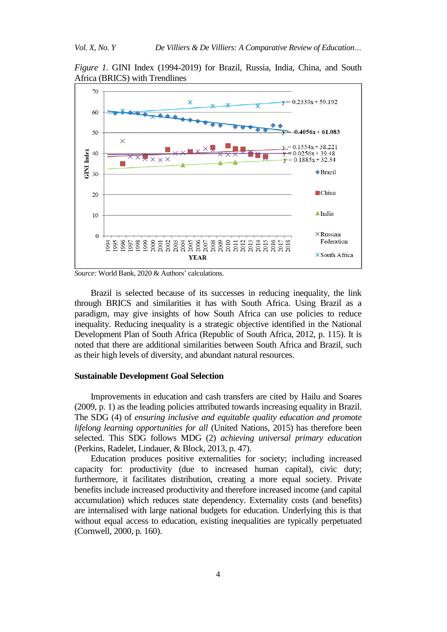*Figure 1.* GINI Index (1994-2019) for Brazil, Russia, India, China, and South Africa (BRICS) with Trendlines



*Source:* World Bank, 2020 & Authors' calculations.

Brazil is selected because of its successes in reducing inequality, the link through BRICS and similarities it has with South Africa. Using Brazil as a paradigm, may give insights of how South Africa can use policies to reduce inequality. Reducing inequality is a strategic objective identified in the National Development Plan of South Africa (Republic of South Africa, 2012, p. 115). It is noted that there are additional similarities between South Africa and Brazil, such as their high levels of diversity, and abundant natural resources.

## **Sustainable Development Goal Selection**

Improvements in education and cash transfers are cited by Hailu and Soares (2009, p. 1) as the leading policies attributed towards increasing equality in Brazil. The SDG (4) of *ensuring inclusive and equitable quality education and promote lifelong learning opportunities for all* (United Nations, 2015) has therefore been selected. This SDG follows MDG (2) *achieving universal primary education*  (Perkins, Radelet, Lindauer, & Block, 2013, p. 47).

Education produces positive externalities for society; including increased capacity for: productivity (due to increased human capital), civic duty; furthermore, it facilitates distribution, creating a more equal society. Private benefits include increased productivity and therefore increased income (and capital accumulation) which reduces state dependency. Externality costs (and benefits) are internalised with large national budgets for education. Underlying this is that without equal access to education, existing inequalities are typically perpetuated (Cornwell, 2000, p. 160).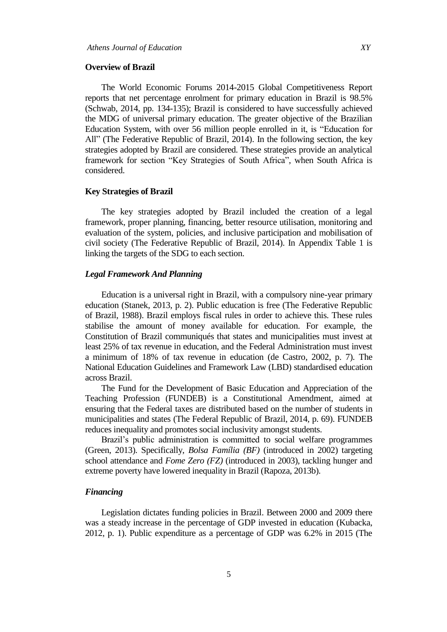#### **Overview of Brazil**

The World Economic Forums 2014-2015 Global Competitiveness Report reports that net percentage enrolment for primary education in Brazil is 98.5% (Schwab, 2014, pp. 134-135); Brazil is considered to have successfully achieved the MDG of universal primary education. The greater objective of the Brazilian Education System, with over 56 million people enrolled in it, is "Education for All" (The Federative Republic of Brazil, 2014). In the following section, the key strategies adopted by Brazil are considered. These strategies provide an analytical framework for section "Key Strategies of South Africa", when South Africa is considered.

#### **Key Strategies of Brazil**

The key strategies adopted by Brazil included the creation of a legal framework, proper planning, financing, better resource utilisation, monitoring and evaluation of the system, policies, and inclusive participation and mobilisation of civil society (The Federative Republic of Brazil, 2014). In Appendix Table 1 is linking the targets of the SDG to each section.

## *Legal Framework And Planning*

Education is a universal right in Brazil, with a compulsory nine-year primary education (Stanek, 2013, p. 2). Public education is free (The Federative Republic of Brazil, 1988). Brazil employs fiscal rules in order to achieve this. These rules stabilise the amount of money available for education. For example, the Constitution of Brazil communiqués that states and municipalities must invest at least 25% of tax revenue in education, and the Federal Administration must invest a minimum of 18% of tax revenue in education (de Castro, 2002, p. 7). The National Education Guidelines and Framework Law (LBD) standardised education across Brazil.

The Fund for the Development of Basic Education and Appreciation of the Teaching Profession (FUNDEB) is a Constitutional Amendment, aimed at ensuring that the Federal taxes are distributed based on the number of students in municipalities and states (The Federal Republic of Brazil, 2014, p. 69). FUNDEB reduces inequality and promotes social inclusivity amongst students.

Brazil's public administration is committed to social welfare programmes (Green, 2013). Specifically, *Bolsa Família (BF)* (introduced in 2002) targeting school attendance and *Fome Zero (FZ)* (introduced in 2003), tackling hunger and extreme poverty have lowered inequality in Brazil (Rapoza, 2013b).

# *Financing*

Legislation dictates funding policies in Brazil. Between 2000 and 2009 there was a steady increase in the percentage of GDP invested in education (Kubacka, 2012, p. 1). Public expenditure as a percentage of GDP was 6.2% in 2015 (The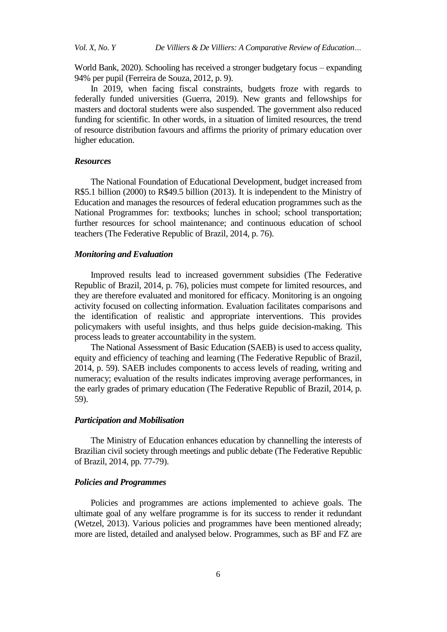World Bank, 2020). Schooling has received a stronger budgetary focus – expanding 94% per pupil (Ferreira de Souza, 2012, p. 9).

In 2019, when facing fiscal constraints, budgets froze with regards to federally funded universities (Guerra, 2019). New grants and fellowships for masters and doctoral students were also suspended. The government also reduced funding for scientific. In other words, in a situation of limited resources, the trend of resource distribution favours and affirms the priority of primary education over higher education.

# *Resources*

The National Foundation of Educational Development, budget increased from R\$5.1 billion (2000) to R\$49.5 billion (2013). It is independent to the Ministry of Education and manages the resources of federal education programmes such as the National Programmes for: textbooks; lunches in school; school transportation; further resources for school maintenance; and continuous education of school teachers (The Federative Republic of Brazil, 2014, p. 76).

#### *Monitoring and Evaluation*

Improved results lead to increased government subsidies (The Federative Republic of Brazil, 2014, p. 76), policies must compete for limited resources, and they are therefore evaluated and monitored for efficacy. Monitoring is an ongoing activity focused on collecting information. Evaluation facilitates comparisons and the identification of realistic and appropriate interventions. This provides policymakers with useful insights, and thus helps guide decision-making. This process leads to greater accountability in the system.

The National Assessment of Basic Education (SAEB) is used to access quality, equity and efficiency of teaching and learning (The Federative Republic of Brazil, 2014, p. 59). SAEB includes components to access levels of reading, writing and numeracy; evaluation of the results indicates improving average performances, in the early grades of primary education (The Federative Republic of Brazil, 2014, p. 59).

#### *Participation and Mobilisation*

The Ministry of Education enhances education by channelling the interests of Brazilian civil society through meetings and public debate (The Federative Republic of Brazil, 2014, pp. 77-79).

## *Policies and Programmes*

Policies and programmes are actions implemented to achieve goals. The ultimate goal of any welfare programme is for its success to render it redundant (Wetzel, 2013). Various policies and programmes have been mentioned already; more are listed, detailed and analysed below. Programmes, such as BF and FZ are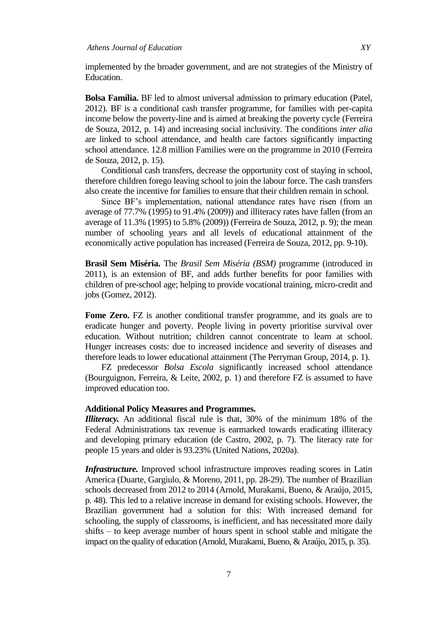implemented by the broader government, and are not strategies of the Ministry of Education.

**Bolsa Família.** BF led to almost universal admission to primary education (Patel, 2012). BF is a conditional cash transfer programme, for families with per-capita income below the poverty-line and is aimed at breaking the poverty cycle (Ferreira de Souza, 2012, p. 14) and increasing social inclusivity. The conditions *inter alia* are linked to school attendance, and health care factors significantly impacting school attendance. 12.8 million Families were on the programme in 2010 (Ferreira de Souza, 2012, p. 15).

Conditional cash transfers, decrease the opportunity cost of staying in school, therefore children forego leaving school to join the labour force. The cash transfers also create the incentive for families to ensure that their children remain in school.

Since BF's implementation, national attendance rates have risen (from an average of 77.7% (1995) to 91.4% (2009)) and illiteracy rates have fallen (from an average of 11.3% (1995) to 5.8% (2009)) (Ferreira de Souza, 2012, p. 9); the mean number of schooling years and all levels of educational attainment of the economically active population has increased (Ferreira de Souza, 2012, pp. 9-10).

**Brasil Sem Miséria.** The *Brasil Sem Miséria (BSM)* programme (introduced in 2011), is an extension of BF, and adds further benefits for poor families with children of pre-school age; helping to provide vocational training, micro-credit and jobs (Gomez, 2012).

Fome Zero. FZ is another conditional transfer programme, and its goals are to eradicate hunger and poverty. People living in poverty prioritise survival over education. Without nutrition; children cannot concentrate to learn at school. Hunger increases costs: due to increased incidence and severity of diseases and therefore leads to lower educational attainment (The Perryman Group, 2014, p. 1).

FZ predecessor *Bolsa Escola* significantly increased school attendance (Bourguignon, Ferreira, & Leite, 2002, p. 1) and therefore FZ is assumed to have improved education too.

## **Additional Policy Measures and Programmes.**

*Illiteracy.* An additional fiscal rule is that, 30% of the minimum 18% of the Federal Administrations tax revenue is earmarked towards eradicating illiteracy and developing primary education (de Castro, 2002, p. 7). The literacy rate for people 15 years and older is 93.23% (United Nations, 2020a).

*Infrastructure*. Improved school infrastructure improves reading scores in Latin America (Duarte, Gargiulo, & Moreno, 2011, pp. 28-29). The number of Brazilian schools decreased from 2012 to 2014 (Arnold, Murakami, Bueno, & Araújo, 2015, p. 48). This led to a relative increase in demand for existing schools. However, the Brazilian government had a solution for this: With increased demand for schooling, the supply of classrooms, is inefficient, and has necessitated more daily shifts – to keep average number of hours spent in school stable and mitigate the impact on the quality of education (Arnold, Murakami, Bueno, & Araújo, 2015, p. 35).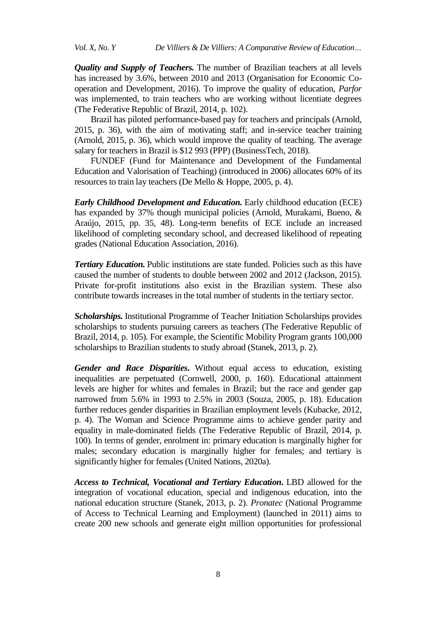*Vol. X, No. Y De Villiers & De Villiers: A Comparative Review of Education…*

*Quality and Supply of Teachers.* The number of Brazilian teachers at all levels has increased by 3.6%, between 2010 and 2013 (Organisation for Economic Cooperation and Development, 2016). To improve the quality of education, *Parfor* was implemented, to train teachers who are working without licentiate degrees (The Federative Republic of Brazil, 2014, p. 102).

Brazil has piloted performance-based pay for teachers and principals (Arnold, 2015, p. 36), with the aim of motivating staff; and in-service teacher training (Arnold, 2015, p. 36), which would improve the quality of teaching. The average salary for teachers in Brazil is \$12 993 (PPP) (BusinessTech, 2018).

FUNDEF (Fund for Maintenance and Development of the Fundamental Education and Valorisation of Teaching) (introduced in 2006) allocates 60% of its resources to train lay teachers (De Mello & Hoppe, 2005, p. 4).

*Early Childhood Development and Education.* Early childhood education (ECE) has expanded by 37% though municipal policies (Arnold, Murakami, Bueno, & Araújo, 2015, pp. 35, 48). Long-term benefits of ECE include an increased likelihood of completing secondary school, and decreased likelihood of repeating grades (National Education Association, 2016).

*Tertiary Education.* Public institutions are state funded. Policies such as this have caused the number of students to double between 2002 and 2012 (Jackson, 2015). Private for-profit institutions also exist in the Brazilian system. These also contribute towards increases in the total number of students in the tertiary sector.

*Scholarships.* Institutional Programme of Teacher Initiation Scholarships provides scholarships to students pursuing careers as teachers (The Federative Republic of Brazil, 2014, p. 105). For example, the Scientific Mobility Program grants 100,000 scholarships to Brazilian students to study abroad (Stanek, 2013, p. 2).

*Gender and Race Disparities***.** Without equal access to education, existing inequalities are perpetuated (Cornwell, 2000, p. 160). Educational attainment levels are higher for whites and females in Brazil; but the race and gender gap narrowed from 5.6% in 1993 to 2.5% in 2003 (Souza, 2005, p. 18). Education further reduces gender disparities in Brazilian employment levels (Kubacke, 2012, p. 4). The Woman and Science Programme aims to achieve gender parity and equality in male-dominated fields (The Federative Republic of Brazil, 2014, p. 100). In terms of gender, enrolment in: primary education is marginally higher for males; secondary education is marginally higher for females; and tertiary is significantly higher for females (United Nations, 2020a).

*Access to Technical, Vocational and Tertiary Education***.** LBD allowed for the integration of vocational education, special and indigenous education, into the national education structure (Stanek, 2013, p. 2). *Pronatec* (National Programme of Access to Technical Learning and Employment) (launched in 2011) aims to create 200 new schools and generate eight million opportunities for professional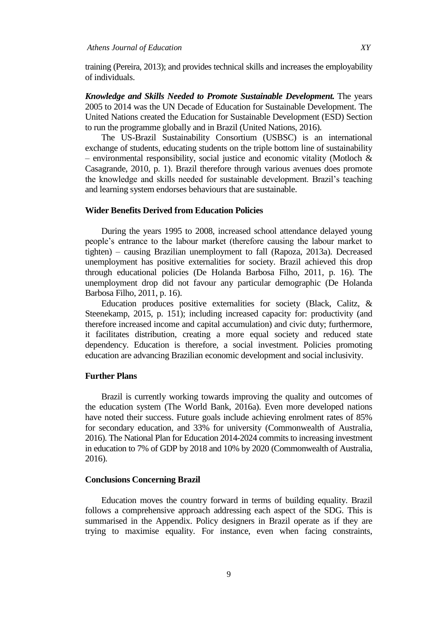training (Pereira, 2013); and provides technical skills and increases the employability of individuals.

*Knowledge and Skills Needed to Promote Sustainable Development.* The years 2005 to 2014 was the UN Decade of Education for Sustainable Development. The United Nations created the Education for Sustainable Development (ESD) Section to run the programme globally and in Brazil (United Nations, 2016).

The US-Brazil Sustainability Consortium (USBSC) is an international exchange of students, educating students on the triple bottom line of sustainability – environmental responsibility, social justice and economic vitality (Motloch  $\&$ Casagrande, 2010, p. 1). Brazil therefore through various avenues does promote the knowledge and skills needed for sustainable development. Brazil's teaching and learning system endorses behaviours that are sustainable.

## **Wider Benefits Derived from Education Policies**

During the years 1995 to 2008, increased school attendance delayed young people's entrance to the labour market (therefore causing the labour market to tighten) – causing Brazilian unemployment to fall (Rapoza, 2013a). Decreased unemployment has positive externalities for society. Brazil achieved this drop through educational policies (De Holanda Barbosa Filho, 2011, p. 16). The unemployment drop did not favour any particular demographic (De Holanda Barbosa Filho, 2011, p. 16).

Education produces positive externalities for society (Black, Calitz, & Steenekamp, 2015, p. 151); including increased capacity for: productivity (and therefore increased income and capital accumulation) and civic duty; furthermore, it facilitates distribution, creating a more equal society and reduced state dependency. Education is therefore, a social investment. Policies promoting education are advancing Brazilian economic development and social inclusivity.

## **Further Plans**

Brazil is currently working towards improving the quality and outcomes of the education system (The World Bank, 2016a). Even more developed nations have noted their success. Future goals include achieving enrolment rates of 85% for secondary education, and 33% for university (Commonwealth of Australia, 2016). The National Plan for Education 2014-2024 commits to increasing investment in education to 7% of GDP by 2018 and 10% by 2020 (Commonwealth of Australia, 2016).

#### **Conclusions Concerning Brazil**

Education moves the country forward in terms of building equality. Brazil follows a comprehensive approach addressing each aspect of the SDG. This is summarised in the Appendix. Policy designers in Brazil operate as if they are trying to maximise equality. For instance, even when facing constraints,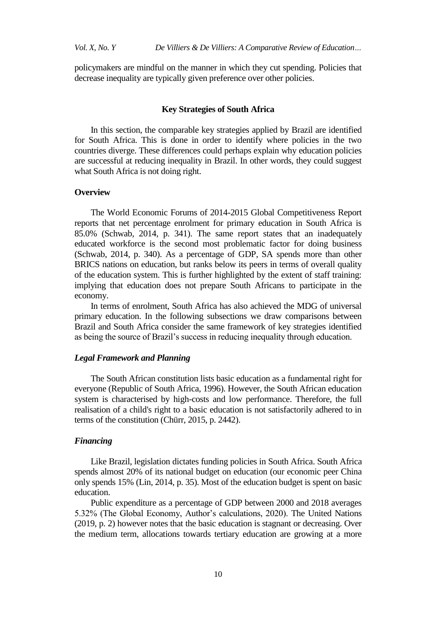policymakers are mindful on the manner in which they cut spending. Policies that decrease inequality are typically given preference over other policies.

#### **Key Strategies of South Africa**

In this section, the comparable key strategies applied by Brazil are identified for South Africa. This is done in order to identify where policies in the two countries diverge. These differences could perhaps explain why education policies are successful at reducing inequality in Brazil. In other words, they could suggest what South Africa is not doing right.

## **Overview**

The World Economic Forums of 2014-2015 Global Competitiveness Report reports that net percentage enrolment for primary education in South Africa is 85.0% (Schwab, 2014, p. 341). The same report states that an inadequately educated workforce is the second most problematic factor for doing business (Schwab, 2014, p. 340). As a percentage of GDP, SA spends more than other BRICS nations on education, but ranks below its peers in terms of overall quality of the education system. This is further highlighted by the extent of staff training: implying that education does not prepare South Africans to participate in the economy.

In terms of enrolment, South Africa has also achieved the MDG of universal primary education. In the following subsections we draw comparisons between Brazil and South Africa consider the same framework of key strategies identified as being the source of Brazil's success in reducing inequality through education.

# *Legal Framework and Planning*

The South African constitution lists basic education as a fundamental right for everyone (Republic of South Africa, 1996). However, the South African education system is characterised by high-costs and low performance. Therefore, the full realisation of a child's right to a basic education is not satisfactorily adhered to in terms of the constitution (Chürr, 2015, p. 2442).

# *Financing*

Like Brazil, legislation dictates funding policies in South Africa. South Africa spends almost 20% of its national budget on education (our economic peer China only spends 15% (Lin, 2014, p. 35). Most of the education budget is spent on basic education.

Public expenditure as a percentage of GDP between 2000 and 2018 averages 5.32% (The Global Economy, Author's calculations, 2020). The United Nations (2019, p. 2) however notes that the basic education is stagnant or decreasing. Over the medium term, allocations towards tertiary education are growing at a more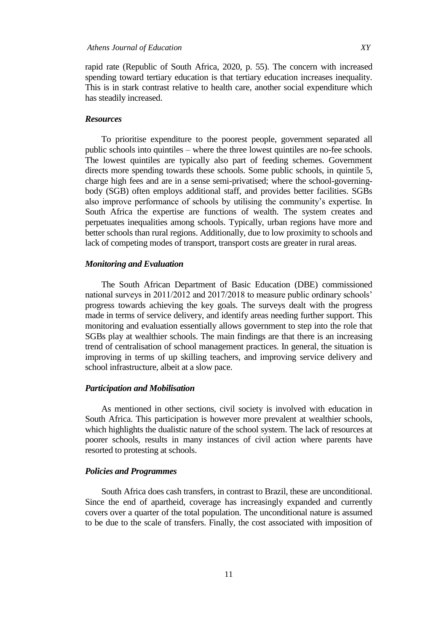rapid rate (Republic of South Africa, 2020, p. 55). The concern with increased spending toward tertiary education is that tertiary education increases inequality. This is in stark contrast relative to health care, another social expenditure which has steadily increased.

# *Resources*

To prioritise expenditure to the poorest people, government separated all public schools into quintiles – where the three lowest quintiles are no-fee schools. The lowest quintiles are typically also part of feeding schemes. Government directs more spending towards these schools. Some public schools, in quintile 5, charge high fees and are in a sense semi-privatised; where the school-governingbody (SGB) often employs additional staff, and provides better facilities. SGBs also improve performance of schools by utilising the community's expertise. In South Africa the expertise are functions of wealth. The system creates and perpetuates inequalities among schools. Typically, urban regions have more and better schools than rural regions. Additionally, due to low proximity to schools and lack of competing modes of transport, transport costs are greater in rural areas.

## *Monitoring and Evaluation*

The South African Department of Basic Education (DBE) commissioned national surveys in 2011/2012 and 2017/2018 to measure public ordinary schools' progress towards achieving the key goals. The surveys dealt with the progress made in terms of service delivery, and identify areas needing further support. This monitoring and evaluation essentially allows government to step into the role that SGBs play at wealthier schools. The main findings are that there is an increasing trend of centralisation of school management practices. In general, the situation is improving in terms of up skilling teachers, and improving service delivery and school infrastructure, albeit at a slow pace.

#### *Participation and Mobilisation*

As mentioned in other sections, civil society is involved with education in South Africa. This participation is however more prevalent at wealthier schools, which highlights the dualistic nature of the school system. The lack of resources at poorer schools, results in many instances of civil action where parents have resorted to protesting at schools.

### *Policies and Programmes*

South Africa does cash transfers, in contrast to Brazil, these are unconditional. Since the end of apartheid, coverage has increasingly expanded and currently covers over a quarter of the total population. The unconditional nature is assumed to be due to the scale of transfers. Finally, the cost associated with imposition of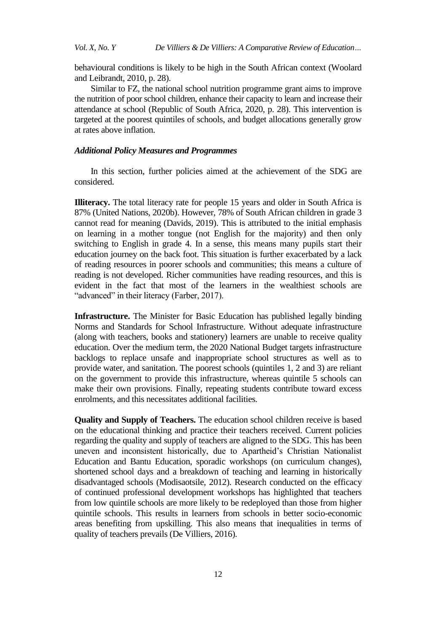behavioural conditions is likely to be high in the South African context (Woolard and Leibrandt, 2010, p. 28).

Similar to FZ, the national school nutrition programme grant aims to improve the nutrition of poor school children, enhance their capacity to learn and increase their attendance at school (Republic of South Africa, 2020, p. 28). This intervention is targeted at the poorest quintiles of schools, and budget allocations generally grow at rates above inflation.

#### *Additional Policy Measures and Programmes*

In this section, further policies aimed at the achievement of the SDG are considered.

**Illiteracy.** The total literacy rate for people 15 years and older in South Africa is 87% (United Nations, 2020b). However, 78% of South African children in grade 3 cannot read for meaning (Davids, 2019). This is attributed to the initial emphasis on learning in a mother tongue (not English for the majority) and then only switching to English in grade 4. In a sense, this means many pupils start their education journey on the back foot. This situation is further exacerbated by a lack of reading resources in poorer schools and communities; this means a culture of reading is not developed. Richer communities have reading resources, and this is evident in the fact that most of the learners in the wealthiest schools are "advanced" in their literacy (Farber, 2017).

**Infrastructure.** The Minister for Basic Education has published legally binding Norms and Standards for School Infrastructure. Without adequate infrastructure (along with teachers, books and stationery) learners are unable to receive quality education. Over the medium term, the 2020 National Budget targets infrastructure backlogs to replace unsafe and inappropriate school structures as well as to provide water, and sanitation. The poorest schools (quintiles 1, 2 and 3) are reliant on the government to provide this infrastructure, whereas quintile 5 schools can make their own provisions. Finally, repeating students contribute toward excess enrolments, and this necessitates additional facilities.

**Quality and Supply of Teachers.** The education school children receive is based on the educational thinking and practice their teachers received. Current policies regarding the quality and supply of teachers are aligned to the SDG. This has been uneven and inconsistent historically, due to Apartheid's Christian Nationalist Education and Bantu Education, sporadic workshops (on curriculum changes), shortened school days and a breakdown of teaching and learning in historically disadvantaged schools (Modisaotsile, 2012). Research conducted on the efficacy of continued professional development workshops has highlighted that teachers from low quintile schools are more likely to be redeployed than those from higher quintile schools. This results in learners from schools in better socio-economic areas benefiting from upskilling. This also means that inequalities in terms of quality of teachers prevails (De Villiers, 2016).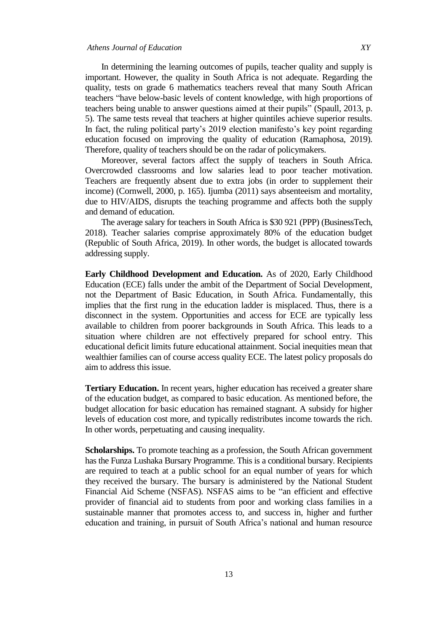In determining the learning outcomes of pupils, teacher quality and supply is important. However, the quality in South Africa is not adequate. Regarding the quality, tests on grade 6 mathematics teachers reveal that many South African teachers "have below-basic levels of content knowledge, with high proportions of teachers being unable to answer questions aimed at their pupils" (Spaull, 2013, p. 5). The same tests reveal that teachers at higher quintiles achieve superior results. In fact, the ruling political party's 2019 election manifesto's key point regarding education focused on improving the quality of education (Ramaphosa, 2019). Therefore, quality of teachers should be on the radar of policymakers.

Moreover, several factors affect the supply of teachers in South Africa. Overcrowded classrooms and low salaries lead to poor teacher motivation. Teachers are frequently absent due to extra jobs (in order to supplement their income) (Cornwell, 2000, p. 165). Ijumba (2011) says absenteeism and mortality, due to HIV/AIDS, disrupts the teaching programme and affects both the supply and demand of education.

The average salary for teachers in South Africa is \$30 921 (PPP) (BusinessTech, 2018). Teacher salaries comprise approximately 80% of the education budget (Republic of South Africa, 2019). In other words, the budget is allocated towards addressing supply.

**Early Childhood Development and Education.** As of 2020, Early Childhood Education (ECE) falls under the ambit of the Department of Social Development, not the Department of Basic Education, in South Africa. Fundamentally, this implies that the first rung in the education ladder is misplaced. Thus, there is a disconnect in the system. Opportunities and access for ECE are typically less available to children from poorer backgrounds in South Africa. This leads to a situation where children are not effectively prepared for school entry. This educational deficit limits future educational attainment. Social inequities mean that wealthier families can of course access quality ECE. The latest policy proposals do aim to address this issue.

**Tertiary Education.** In recent years, higher education has received a greater share of the education budget, as compared to basic education. As mentioned before, the budget allocation for basic education has remained stagnant. A subsidy for higher levels of education cost more, and typically redistributes income towards the rich. In other words, perpetuating and causing inequality.

**Scholarships.** To promote teaching as a profession, the South African government has the Funza Lushaka Bursary Programme. This is a conditional bursary. Recipients are required to teach at a public school for an equal number of years for which they received the bursary. The bursary is administered by the National Student Financial Aid Scheme (NSFAS). NSFAS aims to be "an efficient and effective provider of financial aid to students from poor and working class families in a sustainable manner that promotes access to, and success in, higher and further education and training, in pursuit of South Africa's national and human resource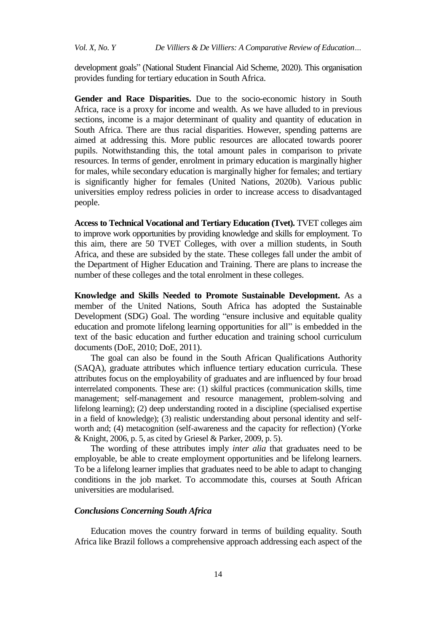development goals" (National Student Financial Aid Scheme, 2020). This organisation provides funding for tertiary education in South Africa.

**Gender and Race Disparities.** Due to the socio-economic history in South Africa, race is a proxy for income and wealth. As we have alluded to in previous sections, income is a major determinant of quality and quantity of education in South Africa. There are thus racial disparities. However, spending patterns are aimed at addressing this. More public resources are allocated towards poorer pupils. Notwithstanding this, the total amount pales in comparison to private resources. In terms of gender, enrolment in primary education is marginally higher for males, while secondary education is marginally higher for females; and tertiary is significantly higher for females (United Nations, 2020b). Various public universities employ redress policies in order to increase access to disadvantaged people.

**Access to Technical Vocational and Tertiary Education (Tvet).** TVET colleges aim to improve work opportunities by providing knowledge and skills for employment. To this aim, there are 50 TVET Colleges, with over a million students, in South Africa, and these are subsided by the state. These colleges fall under the ambit of the Department of Higher Education and Training. There are plans to increase the number of these colleges and the total enrolment in these colleges.

**Knowledge and Skills Needed to Promote Sustainable Development.** As a member of the United Nations, South Africa has adopted the Sustainable Development (SDG) Goal. The wording "ensure inclusive and equitable quality education and promote lifelong learning opportunities for all" is embedded in the text of the basic education and further education and training school curriculum documents (DoE, 2010; DoE, 2011).

The goal can also be found in the South African Qualifications Authority (SAQA), graduate attributes which influence tertiary education curricula. These attributes focus on the employability of graduates and are influenced by four broad interrelated components. These are: (1) skilful practices (communication skills, time management; self-management and resource management, problem-solving and lifelong learning); (2) deep understanding rooted in a discipline (specialised expertise in a field of knowledge); (3) realistic understanding about personal identity and selfworth and; (4) metacognition (self-awareness and the capacity for reflection) (Yorke & Knight, 2006, p. 5, as cited by Griesel & Parker, 2009, p. 5).

The wording of these attributes imply *inter alia* that graduates need to be employable, be able to create employment opportunities and be lifelong learners. To be a lifelong learner implies that graduates need to be able to adapt to changing conditions in the job market. To accommodate this, courses at South African universities are modularised.

# *Conclusions Concerning South Africa*

Education moves the country forward in terms of building equality. South Africa like Brazil follows a comprehensive approach addressing each aspect of the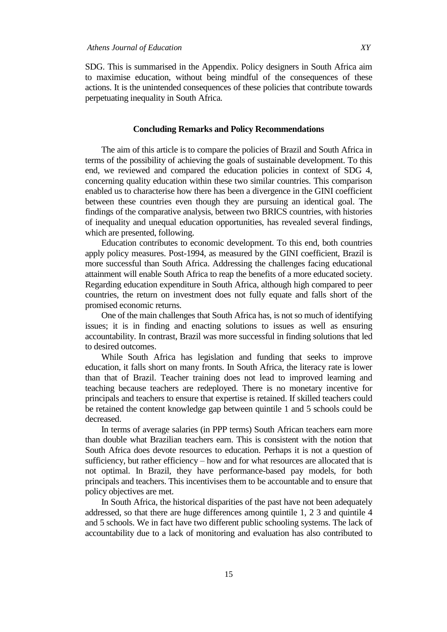SDG. This is summarised in the Appendix. Policy designers in South Africa aim to maximise education, without being mindful of the consequences of these actions. It is the unintended consequences of these policies that contribute towards perpetuating inequality in South Africa.

## **Concluding Remarks and Policy Recommendations**

The aim of this article is to compare the policies of Brazil and South Africa in terms of the possibility of achieving the goals of sustainable development. To this end, we reviewed and compared the education policies in context of SDG 4, concerning quality education within these two similar countries. This comparison enabled us to characterise how there has been a divergence in the GINI coefficient between these countries even though they are pursuing an identical goal. The findings of the comparative analysis, between two BRICS countries, with histories of inequality and unequal education opportunities, has revealed several findings, which are presented, following.

Education contributes to economic development. To this end, both countries apply policy measures. Post-1994, as measured by the GINI coefficient, Brazil is more successful than South Africa. Addressing the challenges facing educational attainment will enable South Africa to reap the benefits of a more educated society. Regarding education expenditure in South Africa, although high compared to peer countries, the return on investment does not fully equate and falls short of the promised economic returns.

One of the main challenges that South Africa has, is not so much of identifying issues; it is in finding and enacting solutions to issues as well as ensuring accountability. In contrast, Brazil was more successful in finding solutions that led to desired outcomes.

While South Africa has legislation and funding that seeks to improve education, it falls short on many fronts. In South Africa, the literacy rate is lower than that of Brazil. Teacher training does not lead to improved learning and teaching because teachers are redeployed. There is no monetary incentive for principals and teachers to ensure that expertise is retained. If skilled teachers could be retained the content knowledge gap between quintile 1 and 5 schools could be decreased.

In terms of average salaries (in PPP terms) South African teachers earn more than double what Brazilian teachers earn. This is consistent with the notion that South Africa does devote resources to education. Perhaps it is not a question of sufficiency, but rather efficiency – how and for what resources are allocated that is not optimal. In Brazil, they have performance-based pay models, for both principals and teachers. This incentivises them to be accountable and to ensure that policy objectives are met.

In South Africa, the historical disparities of the past have not been adequately addressed, so that there are huge differences among quintile 1, 2 3 and quintile 4 and 5 schools. We in fact have two different public schooling systems. The lack of accountability due to a lack of monitoring and evaluation has also contributed to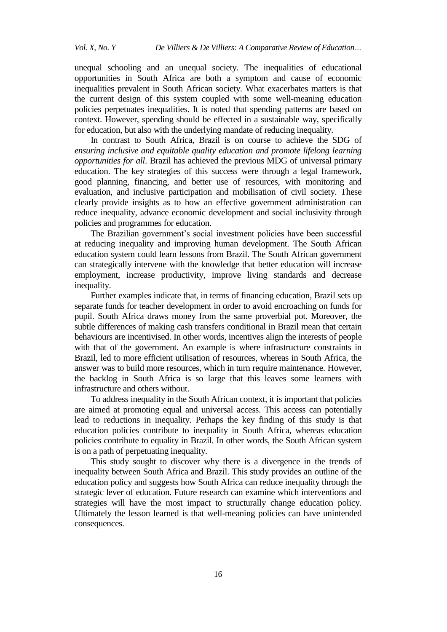unequal schooling and an unequal society. The inequalities of educational opportunities in South Africa are both a symptom and cause of economic inequalities prevalent in South African society. What exacerbates matters is that the current design of this system coupled with some well-meaning education policies perpetuates inequalities. It is noted that spending patterns are based on context. However, spending should be effected in a sustainable way, specifically for education, but also with the underlying mandate of reducing inequality.

In contrast to South Africa, Brazil is on course to achieve the SDG of *ensuring inclusive and equitable quality education and promote lifelong learning opportunities for all*. Brazil has achieved the previous MDG of universal primary education. The key strategies of this success were through a legal framework, good planning, financing, and better use of resources, with monitoring and evaluation, and inclusive participation and mobilisation of civil society. These clearly provide insights as to how an effective government administration can reduce inequality, advance economic development and social inclusivity through policies and programmes for education.

The Brazilian government's social investment policies have been successful at reducing inequality and improving human development. The South African education system could learn lessons from Brazil. The South African government can strategically intervene with the knowledge that better education will increase employment, increase productivity, improve living standards and decrease inequality.

Further examples indicate that, in terms of financing education, Brazil sets up separate funds for teacher development in order to avoid encroaching on funds for pupil. South Africa draws money from the same proverbial pot. Moreover, the subtle differences of making cash transfers conditional in Brazil mean that certain behaviours are incentivised. In other words, incentives align the interests of people with that of the government. An example is where infrastructure constraints in Brazil, led to more efficient utilisation of resources, whereas in South Africa, the answer was to build more resources, which in turn require maintenance. However, the backlog in South Africa is so large that this leaves some learners with infrastructure and others without.

To address inequality in the South African context, it is important that policies are aimed at promoting equal and universal access. This access can potentially lead to reductions in inequality. Perhaps the key finding of this study is that education policies contribute to inequality in South Africa, whereas education policies contribute to equality in Brazil. In other words, the South African system is on a path of perpetuating inequality.

This study sought to discover why there is a divergence in the trends of inequality between South Africa and Brazil. This study provides an outline of the education policy and suggests how South Africa can reduce inequality through the strategic lever of education. Future research can examine which interventions and strategies will have the most impact to structurally change education policy. Ultimately the lesson learned is that well-meaning policies can have unintended consequences.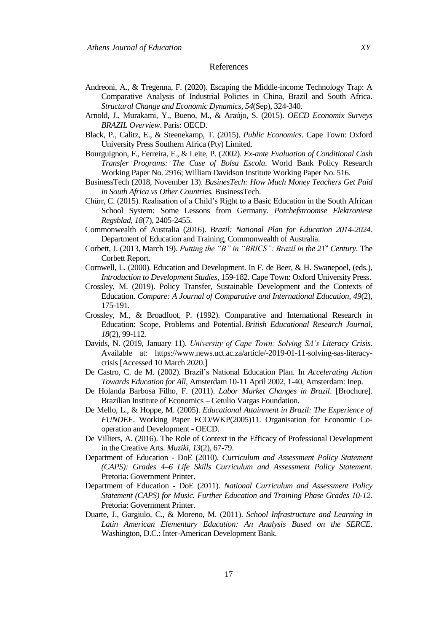#### References

- Andreoni, A., & Tregenna, F. (2020). Escaping the Middle-income Technology Trap: A Comparative Analysis of Industrial Policies in China, Brazil and South Africa. *Structural Change and Economic Dynamics, 54*(Sep), 324-340.
- Arnold, J., Murakami, Y., Bueno, M., & Araújo, S. (2015). *OECD Economix Surveys BRAZIL Overview*. Paris: OECD.
- Black, P., Calitz, E., & Steenekamp, T. (2015). *Public Economics.* Cape Town: Oxford University Press Southern Africa (Pty) Limited.
- Bourguignon, F., Ferreira, F., & Leite, P. (2002). *Ex-ante Evaluation of Conditional Cash Transfer Programs: The Case of Bolsa Escola*. World Bank Policy Research Working Paper No. 2916; William Davidson Institute Working Paper No. 516.
- BusinessTech (2018, November 13). *BusinesTech: How Much Money Teachers Get Paid in South Africa vs Other Countries.* BusinessTech.
- Chürr, C. (2015). Realisation of a Child's Right to a Basic Education in the South African School System: Some Lessons from Germany. *Potchefstroomse Elektroniese Regsblad, 18*(7), 2405-2455.
- Commonwealth of Australia (2016). *Brazil: National Plan for Education 2014-2024.*  Department of Education and Training, Commonwealth of Australia.
- Corbett, J. (2013, March 19). *Putting the "B" in "BRICS": Brazil in the 21st Century*. The Corbett Report.
- Cornwell, L. (2000). Education and Development. In F. de Beer, & H. Swanepoel, (eds.), *Introduction to Development Studies,* 159-182. Cape Town: Oxford University Press.
- Crossley, M. (2019). Policy Transfer, Sustainable Development and the Contexts of Education. *Compare: A Journal of Comparative and International Education, 49*(2), 175-191.
- Crossley, M., & Broadfoot, P. (1992). Comparative and International Research in Education: Scope, Problems and Potential. *British Educational Research Journal*, *18*(2), 99-112.
- Davids, N. (2019, January 11). *University of Cape Town: Solving SA's Literacy Crisis.*  Available at: https://www.news.uct.ac.za/article/-2019-01-11-solving-sas-literacycrisis [Accessed 10 March 2020.]
- De Castro, C. de M. (2002). Brazil's National Education Plan. In *Accelerating Action Towards Education for All,* Amsterdam 10-11 April 2002, 1-40, Amsterdam: Inep.
- De Holanda Barbosa Filho, F. (2011). *Labor Market Changes in Brazil*. [Brochure]. Brazilian Institute of Economics – Getulio Vargas Foundation.
- De Mello, L., & Hoppe, M. (2005). *Educational Attainment in Brazil: The Experience of FUNDEF*. Working Paper ECO/WKP(2005)11. Organisation for Economic Cooperation and Development - OECD.
- De Villiers, A. (2016). The Role of Context in the Efficacy of Professional Development in the Creative Arts. *Muziki, 13*(2), 67-79.
- Department of Education DoE (2010). *Curriculum and Assessment Policy Statement (CAPS): Grades 4–6 Life Skills Curriculum and Assessment Policy Statement*. Pretoria: Government Printer.
- Department of Education DoE (2011). *National Curriculum and Assessment Policy Statement (CAPS) for Music. Further Education and Training Phase Grades 10-12.*  Pretoria: Government Printer.
- Duarte, J., Gargiulo, C., & Moreno, M. (2011). *School Infrastructure and Learning in Latin American Elementary Education: An Analysis Based on the SERCE*. Washington, D.C.: Inter-American Development Bank.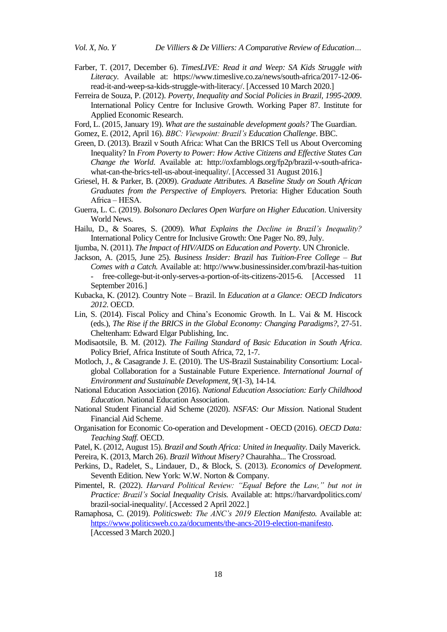- Farber, T. (2017, December 6). *TimesLIVE: Read it and Weep: SA Kids Struggle with Literacy.* Available at: [https://www.timeslive.co.za/news/south-africa/2017-12-06](https://www.timeslive.co.za/news/south-africa/2017-12-06-read-it-and-weep-sa-kids-struggle-with-literacy/) [read-it-and-weep-sa-kids-struggle-with-literacy/.](https://www.timeslive.co.za/news/south-africa/2017-12-06-read-it-and-weep-sa-kids-struggle-with-literacy/) [Accessed 10 March 2020.]
- Ferreira de Souza, P. (2012). *Poverty, Inequality and Social Policies in Brazil, 1995-2009*. International Policy Centre for Inclusive Growth. Working Paper 87. Institute for Applied Economic Research.

Ford, L. (2015, January 19). *What are the sustainable development goals?* The Guardian.

Gomez, E. (2012, April 16). *BBC: Viewpoint: Brazil's Education Challenge*. BBC.

- Green, D. (2013). Brazil v South Africa: What Can the BRICS Tell us About Overcoming Inequality? In *From Poverty to Power: How Active Citizens and Effective States Can Change the World.* Available at: [http://oxfamblogs.org/fp2p/brazil-v-south-africa](http://oxfamblogs.org/fp2p/brazil-v-south-africa-what-can-the-brics-tell-us-about-inequality/)[what-can-the-brics-tell-us-about-inequality/.](http://oxfamblogs.org/fp2p/brazil-v-south-africa-what-can-the-brics-tell-us-about-inequality/) [Accessed 31 August 2016.]
- Griesel, H. & Parker, B. (2009). *Graduate Attributes. A Baseline Study on South African Graduates from the Perspective of Employers.* Pretoria: Higher Education South Africa - HESA.
- Guerra, L. C. (2019). *Bolsonaro Declares Open Warfare on Higher Education*. University World News.
- Hailu, D., & Soares, S. (2009). *What Explains the Decline in Brazil's Inequality?* International Policy Centre for Inclusive Growth: One Pager No. 89, July.
- Ijumba, N. (2011). *The Impact of HIV/AIDS on Education and Poverty*. UN Chronicle.
- Jackson, A. (2015, June 25). *Business Insider: Brazil has Tuition-Free College – But Comes with a Catch.* Available at: http://www.businessinsider.com/brazil-has-tuition free-college-but-it-only-serves-a-portion-of-its-citizens-2015-6. [Accessed 11 September 2016.]
- Kubacka, K. (2012). Country Note Brazil. In *Education at a Glance: OECD Indicators 2012*. OECD.
- Lin, S. (2014). Fiscal Policy and China's Economic Growth. In L. Vai & M. Hiscock (eds.), *The Rise if the BRICS in the Global Economy: Changing Paradigms?*, 27-51. Cheltenham: Edward Elgar Publishing, Inc.
- Modisaotsile, B. M. (2012). *The Failing Standard of Basic Education in South Africa*. Policy Brief, Africa Institute of South Africa, 72, 1-7.
- Motloch, J., & Casagrande J. E. (2010). The US-Brazil Sustainability Consortium: Localglobal Collaboration for a Sustainable Future Experience. *International Journal of Environment and Sustainable Development, 9*(1-3), 14-14*.*
- National Education Association (2016). *National Education Association: Early Childhood Education*. National Education Association.
- National Student Financial Aid Scheme (2020). *NSFAS: Our Mission.* National Student Financial Aid Scheme.
- Organisation for Economic Co-operation and Development OECD (2016). *OECD Data: Teaching Staff.* OECD.
- Patel, K. (2012, August 15). *Brazil and South Africa: United in Inequality*. Daily Maverick.
- Pereira, K. (2013, March 26). *Brazil Without Misery?* Chaurahha... The Crossroad*.*
- Perkins, D., Radelet, S., Lindauer, D., & Block, S. (2013). *Economics of Development.*  Seventh Edition. New York: W.W. Norton & Company.
- Pimentel, R. (2022). *Harvard Political Review: "Equal Before the Law," but not in Practice: Brazil's Social Inequality Crisis.* Available at: https://harvardpolitics.com/ brazil-social-inequality/. [Accessed 2 April 2022.]
- Ramaphosa, C. (2019). *Politicsweb: The ANC's 2019 Election Manifesto.* Available at: [https://www.politicsweb.co.za/documents/the-ancs-2019-election-manifesto.](https://www.politicsweb.co.za/documents/the-ancs-2019-election-manifesto)

<sup>[</sup>Accessed 3 March 2020.]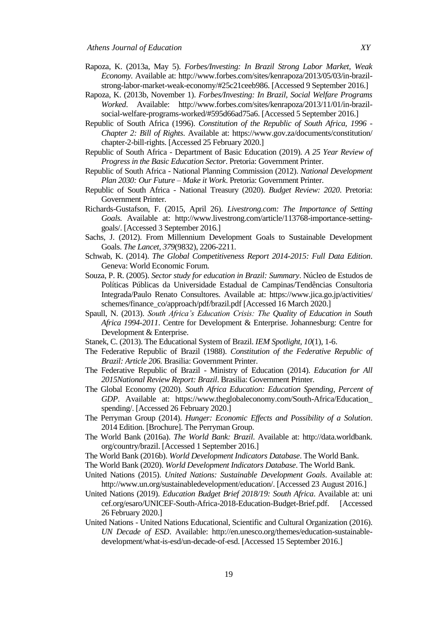- Rapoza, K. (2013a, May 5). *Forbes/Investing: In Brazil Strong Labor Market, Weak Economy.* Available at: [http://www.forbes.com/sites/kenrapoza/2013/05/03/in-brazil](http://www.forbes.com/sites/kenrapoza/2013/05/03/in-brazil-strong-labor-market-weak-economy/#25c21ceeb986)[strong-labor-market-weak-economy/#25c21ceeb986.](http://www.forbes.com/sites/kenrapoza/2013/05/03/in-brazil-strong-labor-market-weak-economy/#25c21ceeb986) [Accessed 9 September 2016.]
- Rapoza, K. (2013b, November 1). *Forbes/Investing: In Brazil, Social Welfare Programs Worked*. Available: [http://www.forbes.com/sites/kenrapoza/2013/11/01/in-brazil](http://www.forbes.com/sites/kenrapoza/2013/11/01/in-brazil-social-welfare-programs-worked/#595d66ad75a6)[social-welfare-programs-worked/#595d66ad75a6.](http://www.forbes.com/sites/kenrapoza/2013/11/01/in-brazil-social-welfare-programs-worked/#595d66ad75a6) [Accessed 5 September 2016.]
- Republic of South Africa (1996). *Constitution of the Republic of South Africa, 1996 - Chapter 2: Bill of Rights*. Available at: https://www.gov.za/documents/constitution/ chapter-2-bill-rights. [Accessed 25 February 2020.]
- Republic of South Africa Department of Basic Education (2019). *A 25 Year Review of Progress in the Basic Education Sector*. Pretoria: Government Printer.
- Republic of South Africa National Planning Commission (2012). *National Development Plan 2030: Our Future – Make it Work*. Pretoria: Government Printer.
- Republic of South Africa National Treasury (2020). *Budget Review: 2020*. Pretoria: Government Printer.
- Richards-Gustafson, F. (2015, April 26). *Livestrong.com: The Importance of Setting Goals.* Available at: http://www.livestrong.com/article/113768-importance-settinggoals/. [Accessed 3 September 2016.]
- Sachs, J. (2012). From Millennium Development Goals to Sustainable Development Goals. *The Lancet*, *379*(9832), 2206-2211.
- Schwab, K. (2014). *The Global Competitiveness Report 2014-2015: Full Data Edition*. Geneva: World Economic Forum.
- Souza, P. R. (2005). *Sector study for education in Brazil: Summary*. Núcleo de Estudos de Políticas Públicas da Universidade Estadual de Campinas/Tendências Consultoria Integrada/Paulo Renato Consultores. Available at: https://www.jica.go.jp/activities/ schemes/finance\_co/approach/pdf/brazil.pdf [Accessed 16 March 2020.]
- Spaull, N. (2013). *South Africa's Education Crisis: The Quality of Education in South Africa 1994-2011*. Centre for Development & Enterprise. Johannesburg: Centre for Development & Enterprise.
- Stanek, C. (2013). The Educational System of Brazil. *IEM Spotlight, 10*(1), 1-6.
- The Federative Republic of Brazil (1988). *Constitution of the Federative Republic of Brazil: Article 206.* Brasilia: Government Printer.
- The Federative Republic of Brazil Ministry of Education (2014). *Education for All 2015National Review Report: Brazil*. Brasilia: Government Printer.
- The Global Economy (2020). *South Africa Education: Education Spending, Percent of GDP*. Available at: https://www.theglobaleconomy.com/South-Africa/Education\_ spending/. [Accessed 26 February 2020.]
- The Perryman Group (2014). *Hunger: Economic Effects and Possibility of a Solution*. 2014 Edition. [Brochure]. The Perryman Group.
- The World Bank (2016a). *The World Bank: Brazil*. Available at: http://data.worldbank. org/country/brazil. [Accessed 1 September 2016.]
- The World Bank (2016b). *World Development Indicators Database*. The World Bank.
- The World Bank (2020). *World Development Indicators Database*. The World Bank.
- United Nations (2015). *United Nations: Sustainable Development Goals*. Available at: [http://www.un.org/sustainabledevelopment/education/.](http://www.un.org/sustainabledevelopment/education/) [Accessed 23 August 2016.]
- United Nations (2019). *Education Budget Brief 2018/19: South Africa*. Available at: uni cef.org/esaro/UNICEF-South-Africa-2018-Education-Budget-Brief.pdf. [Accessed 26 February 2020.]
- United Nations United Nations Educational, Scientific and Cultural Organization (2016). *UN Decade of ESD*. Available: [http://en.unesco.org/themes/education-sustainable](http://en.unesco.org/themes/education-sustainable-development/what-is-esd/un-decade-of-esd)[development/what-is-esd/un-decade-of-esd.](http://en.unesco.org/themes/education-sustainable-development/what-is-esd/un-decade-of-esd) [Accessed 15 September 2016.]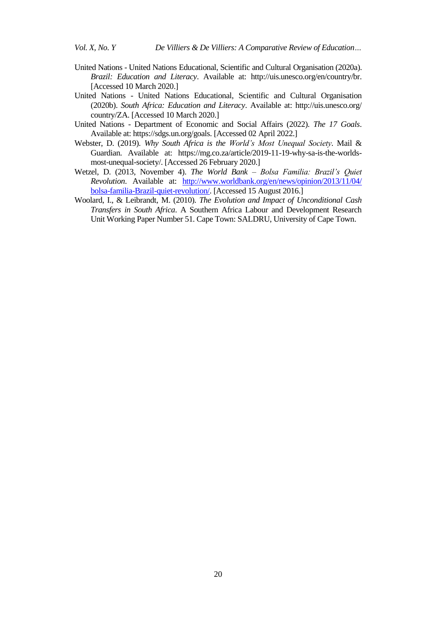- United Nations United Nations Educational, Scientific and Cultural Organisation (2020a). *Brazil: Education and Literacy*. Available at: http://uis.unesco.org/en/country/br. [Accessed 10 March 2020.]
- United Nations United Nations Educational, Scientific and Cultural Organisation (2020b). *South Africa: Education and Literacy*. Available at: http://uis.unesco.org/ country/ZA. [Accessed 10 March 2020.]
- United Nations Department of Economic and Social Affairs (2022). *The 17 Goals*. Available at: [https://sdgs.un.org/goals.](https://sdgs.un.org/goals) [Accessed 02 April 2022.]
- Webster, D. (2019). *Why South Africa is the World's Most Unequal Society*. Mail & Guardian. Available at: https://mg.co.za/article/2019-11-19-why-sa-is-the-worldsmost-unequal-society/. [Accessed 26 February 2020.]
- Wetzel, D. (2013, November 4). *The World Bank – Bolsa Familia: Brazil's Quiet Revolution*. Available at: [http://www.worldbank.org/en/news/opinion/2013/11/04/](http://www.worldbank.org/en/news/opinion/2013/11/04/%20bolsa-familia-Brazil-quiet-revolution/) [bolsa-familia-Brazil-quiet-revolution/.](http://www.worldbank.org/en/news/opinion/2013/11/04/%20bolsa-familia-Brazil-quiet-revolution/) [Accessed 15 August 2016.]
- Woolard, I., & Leibrandt, M. (2010). *The Evolution and Impact of Unconditional Cash Transfers in South Africa*. A Southern Africa Labour and Development Research Unit Working Paper Number 51. Cape Town: SALDRU, University of Cape Town.